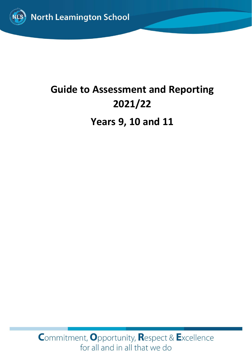

# **Guide to Assessment and Reporting 2021/22 Years 9, 10 and 11**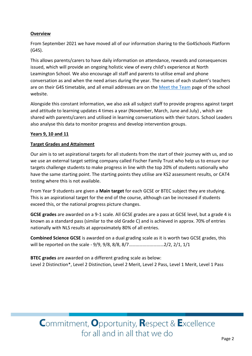#### **Overview**

From September 2021 we have moved all of our information sharing to the Go4Schools Platform (G4S).

This allows parents/carers to have daily information on attendance, rewards and consequences issued, which will provide an ongoing holistic view of every child's experience at North Leamington School. We also encourage all staff and parents to utilise email and phone conversation as and when the need arises during the year. The names of each student's teachers are on their G4S timetable, and all email addresses are on the [Meet the Team](https://www.northleamington.co.uk/aboutus/meet-the-team) page of the school website.

Alongside this constant information, we also ask all subject staff to provide progress against target and attitude to learning updates 4 times a year (November, March, June and July) , which are shared with parents/carers and utilised in learning conversations with their tutors. School Leaders also analyse this data to monitor progress and develop intervention groups.

#### **Years 9, 10 and 11**

#### **Target Grades and Attainment**

Our aim is to set aspirational targets for all students from the start of their journey with us, and so we use an external target setting company called Fischer Family Trust who help us to ensure our targets challenge students to make progress in line with the top 20% of students nationally who have the same starting point. The starting points they utilise are KS2 assessment results, or CAT4 testing where this is not available.

From Year 9 students are given a **Main target** for each GCSE or BTEC subject they are studying. This is an aspirational target for the end of the course, although can be increased if students exceed this, or the national progress picture changes.

**GCSE grades** are awarded on a 9-1 scale. All GCSE grades are a pass at GCSE level, but a grade 4 is known as a standard pass (similar to the old Grade C) and is achieved in approx. 70% of entries nationally with NLS results at approximately 80% of all entries.

**Combined Science GCSE** is awarded on a dual grading scale as it is worth two GCSE grades, this will be reported on the scale - 9/9, 9/8, 8/8, 8/7..............................2/2, 2/1, 1/1

**BTEC grades** are awarded on a different grading scale as below: Level 2 Distinction\*, Level 2 Distinction, Level 2 Merit, Level 2 Pass, Level 1 Merit, Level 1 Pass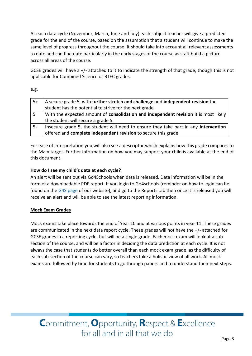At each data cycle (November, March, June and July) each subject teacher will give a predicted grade for the end of the course, based on the assumption that a student will continue to make the same level of progress throughout the course. It should take into account all relevant assessments to date and can fluctuate particularly in the early stages of the course as staff build a picture across all areas of the course.

GCSE grades will have a +/- attached to it to indicate the strength of that grade, though this is not applicable for Combined Science or BTEC grades.

e.g.

| $15+$ | A secure grade 5, with further stretch and challenge and independent revision the    |
|-------|--------------------------------------------------------------------------------------|
|       | student has the potential to strive for the next grade.                              |
| l 5   | With the expected amount of consolidation and independent revision it is most likely |
|       | the student will secure a grade 5.                                                   |
| -5    | Insecure grade 5, the student will need to ensure they take part in any intervention |
|       | offered and <b>complete independent revision</b> to secure this grade                |

For ease of interpretation you will also see a descriptor which explains how this grade compares to the Main target. Further information on how you may support your child is available at the end of this document.

### **How do I see my child's data at each cycle?**

An alert will be sent out via Go4Schools when data is released. Data information will be in the form of a downloadable PDF report. If you login to Go4schools (reminder on how to login can be found on the [G4S page](https://www.northleamington.co.uk/learn/go-4-schools-g4s) of our website), and go to the Reports tab then once it is released you will receive an alert and will be able to see the latest reporting information.

#### **Mock Exam Grades**

Mock exams take place towards the end of Year 10 and at various points in year 11. These grades are communicated in the next data report cycle. These grades will not have the +/- attached for GCSE grades in a reporting cycle, but will be a single grade. Each mock exam will look at a subsection of the course, and will be a factor in deciding the data prediction at each cycle. It is not always the case that students do better overall than each mock exam grade, as the difficulty of each sub-section of the course can vary, so teachers take a holistic view of all work. All mock exams are followed by time for students to go through papers and to understand their next steps.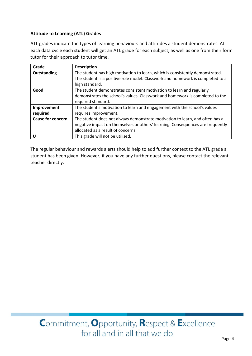#### **Attitude to Learning (ATL) Grades**

ATL grades indicate the types of learning behaviours and attitudes a student demonstrates. At each data cycle each student will get an ATL grade for each subject, as well as one from their form tutor for their approach to tutor time.

| Grade                    | <b>Description</b>                                                             |
|--------------------------|--------------------------------------------------------------------------------|
| Outstanding              | The student has high motivation to learn, which is consistently demonstrated.  |
|                          | The student is a positive role model. Classwork and homework is completed to a |
|                          | high standard.                                                                 |
| Good                     | The student demonstrates consistent motivation to learn and regularly          |
|                          | demonstrates the school's values. Classwork and homework is completed to the   |
|                          | required standard.                                                             |
| Improvement              | The student's motivation to learn and engagement with the school's values      |
| required                 | requires improvement.                                                          |
| <b>Cause for concern</b> | The student does not always demonstrate motivation to learn, and often has a   |
|                          | negative impact on themselves or others' learning. Consequences are frequently |
|                          | allocated as a result of concerns.                                             |
| U                        | This grade will not be utilised.                                               |

The regular behaviour and rewards alerts should help to add further context to the ATL grade a student has been given. However, if you have any further questions, please contact the relevant teacher directly.